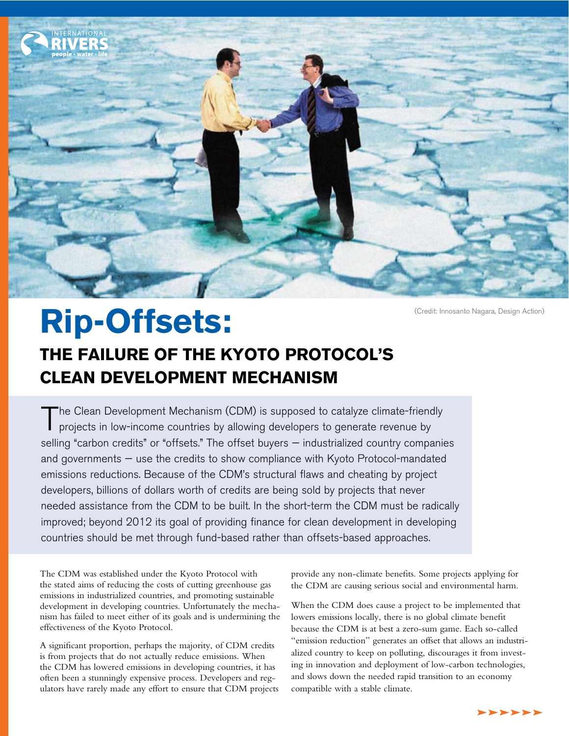

# Rip-Offsets: **THE FAILURE OF THE KYOTO PROTOCOL'S CLEAN DEVELOPMENT MECHANISM**

The Clean Development Mechanism (CDM) is supposed to catalyze climate-friendly projects in low-income countries by allowing developers to generate revenue by selling "carbon credits" or "offsets." The offset buyers - industrialized country companies and governments — use the credits to show compliance with Kyoto Protocol-mandated emissions reductions. Because of the CDM's structural flaws and cheating by project developers, billions of dollars worth of credits are being sold by projects that never needed assistance from the CDM to be built. In the short-term the CDM must be radically improved; beyond 2012 its goal of providing finance for clean development in developing countries should be met through fund-based rather than offsets-based approaches.

The CDM was established under the Kyoto Protocol with the stated aims of reducing the costs of cutting greenhouse gas emissions in industrialized countries, and promoting sustainable development in developing countries. Unfortunately the mechanism has failed to meet either of its goals and is undermining the effectiveness of the Kyoto Protocol.

A significant proportion, perhaps the majority, of CDM credits is from projects that do not actually reduce emissions. When the CDM has lowered emissions in developing countries, it has often been a stunningly expensive process. Developers and regulators have rarely made any effort to ensure that CDM projects provide any non-climate benefits. Some projects applying for the CDM are causing serious social and environmental harm.

When the CDM does cause a project to be implemented that lowers emissions locally, there is no global climate benefit because the CDM is at best a zero-sum game. Each so-called "emission reduction" generates an offset that allows an industrialized country to keep on polluting, discourages it from investing in innovation and deployment of low-carbon technologies, and slows down the needed rapid transition to an economy compatible with a stable climate.

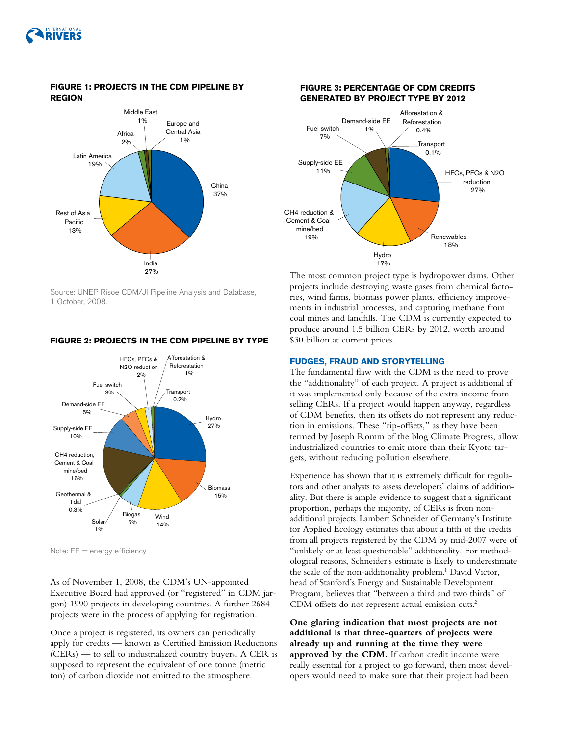

#### **% CDM PROJECTS BY REGION FIGURE 1: PROJECTS IN THE CDM PIPELINE BY REGION**



Source: UNEP Risoe CDM/JI Pipeline Analysis and Database, 1 October, 2008.

#### **FIGURE 2: PROJECTS IN THE CDM PIPELINE BY TYPE**



Note: EE = energy efficiency

As of November 1, 2008, the CDM's UN-appointed Executive Board had approved (or "registered" in CDM jargon) 1990 projects in developing countries. A further 2684 projects were in the process of applying for registration.

Once a project is registered, its owners can periodically apply for credits — known as Certified Emission Reductions (CERs) — to sell to industrialized country buyers. A CER is supposed to represent the equivalent of one tonne (metric ton) of carbon dioxide not emitted to the atmosphere.



The most common project type is hydropower dams. Other projects include destroying waste gases from chemical factories, wind farms, biomass power plants, efficiency improvements in industrial processes, and capturing methane from coal mines and landfills. The CDM is currently expected to produce around 1.5 billion CERs by 2012, worth around \$30 billion at current prices.

#### **FUDGES, FRAUD AND STORYTELLING**

The fundamental flaw with the CDM is the need to prove the "additionality" of each project. A project is additional if it was implemented only because of the extra income from selling CERs. If a project would happen anyway, regardless of CDM benefits, then its offsets do not represent any reduction in emissions. These "rip-offsets," as they have been termed by Joseph Romm of the blog Climate Progress, allow industrialized countries to emit more than their Kyoto targets, without reducing pollution elsewhere.

Experience has shown that it is extremely difficult for regulators and other analysts to assess developers' claims of additionality. But there is ample evidence to suggest that a significant proportion, perhaps the majority, of CERs is from nonadditional projects. Lambert Schneider of Germany's Institute for Applied Ecology estimates that about a fifth of the credits from all projects registered by the CDM by mid-2007 were of "unlikely or at least questionable" additionality. For methodological reasons, Schneider's estimate is likely to underestimate the scale of the non-additionality problem.<sup>1</sup> David Victor, head of Stanford's Energy and Sustainable Development Program, believes that "between a third and two thirds" of CDM offsets do not represent actual emission cuts.2

**One glaring indication that most projects are not additional is that three-quarters of projects were already up and running at the time they were approved by the CDM.** If carbon credit income were really essential for a project to go forward, then most developers would need to make sure that their project had been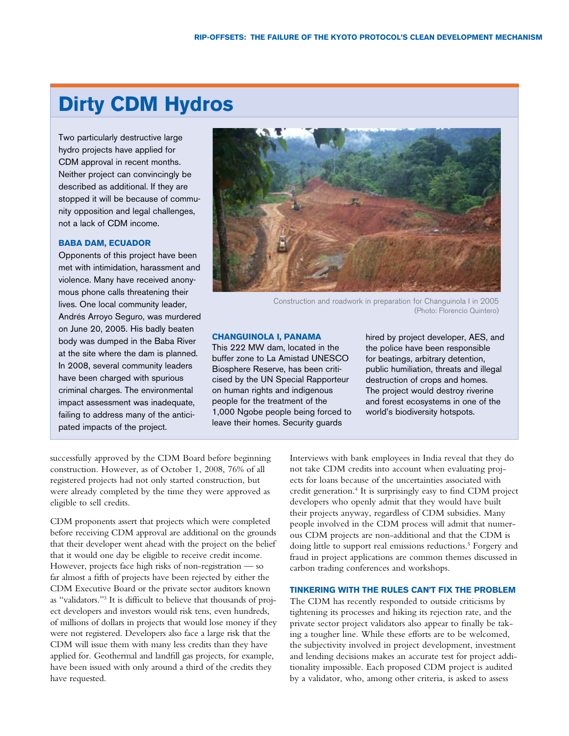## **Dirty CDM Hydros**

Two particularly destructive large hydro projects have applied for CDM approval in recent months. Neither project can convincingly be described as additional. If they are stopped it will be because of community opposition and legal challenges, not a lack of CDM income.

#### **BABA DAM, ECUADOR**

Opponents of this project have been met with intimidation, harassment and violence. Many have received anonymous phone calls threatening their lives. One local community leader, Andrés Arroyo Seguro, was murdered on June 20, 2005. His badly beaten body was dumped in the Baba River at the site where the dam is planned. In 2008, several community leaders have been charged with spurious criminal charges. The environmental impact assessment was inadequate, failing to address many of the anticipated impacts of the project.



Construction and roadwork in preparation for Changuinola I in 2005 (Photo: Florencio Quintero)

#### **CHANGUINOLA I, PANAMA**

This 222 MW dam, located in the buffer zone to La Amistad UNESCO Biosphere Reserve, has been criticised by the UN Special Rapporteur on human rights and indigenous people for the treatment of the 1,000 Ngobe people being forced to leave their homes. Security guards

hired by project developer, AES, and the police have been responsible for beatings, arbitrary detention, public humiliation, threats and illegal destruction of crops and homes. The project would destroy riverine and forest ecosystems in one of the world's biodiversity hotspots.

successfully approved by the CDM Board before beginning construction. However, as of October 1, 2008, 76% of all registered projects had not only started construction, but were already completed by the time they were approved as eligible to sell credits.

CDM proponents assert that projects which were completed before receiving CDM approval are additional on the grounds that their developer went ahead with the project on the belief that it would one day be eligible to receive credit income. However, projects face high risks of non-registration — so far almost a fifth of projects have been rejected by either the CDM Executive Board or the private sector auditors known as "validators."3 It is difficult to believe that thousands of project developers and investors would risk tens, even hundreds, of millions of dollars in projects that would lose money if they were not registered. Developers also face a large risk that the CDM will issue them with many less credits than they have applied for. Geothermal and landfill gas projects, for example, have been issued with only around a third of the credits they have requested.

Interviews with bank employees in India reveal that they do not take CDM credits into account when evaluating projects for loans because of the uncertainties associated with credit generation.4 It is surprisingly easy to find CDM project developers who openly admit that they would have built their projects anyway, regardless of CDM subsidies. Many people involved in the CDM process will admit that numerous CDM projects are non-additional and that the CDM is doing little to support real emissions reductions.<sup>5</sup> Forgery and fraud in project applications are common themes discussed in carbon trading conferences and workshops.

#### **TINKERING WITH THE RULES CAN'T FIX THE PROBLEM**

The CDM has recently responded to outside criticisms by tightening its processes and hiking its rejection rate, and the private sector project validators also appear to finally be taking a tougher line. While these efforts are to be welcomed, the subjectivity involved in project development, investment and lending decisions makes an accurate test for project additionality impossible. Each proposed CDM project is audited by a validator, who, among other criteria, is asked to assess